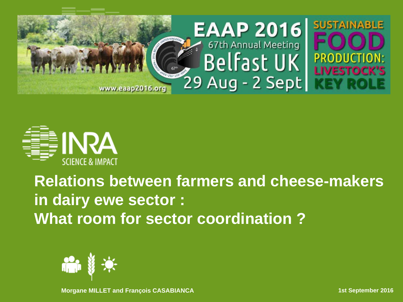



#### **Relations between farmers and cheese-makers in dairy ewe sector : What room for sector coordination ?**



**Morgane MILLET and François CASABIANCA** 1999 **1999 12: 15t September 2016**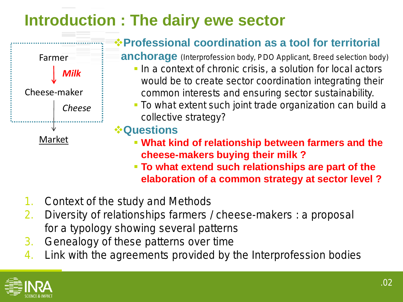### **Introduction : The dairy ewe sector**



#### **Professional coordination as a tool for territorial**

**anchorage** (Interprofession body, PDO Applicant, Breed selection body)

- In a context of chronic crisis, a solution for local actors would be to create sector coordination integrating their common interests and ensuring sector sustainability.
- **To what extent such joint trade organization can build a** collective strategy?

**Questions** 

- **What kind of relationship between farmers and the cheese-makers buying their milk ?**
- **To what extend such relationships are part of the elaboration of a common strategy at sector level ?**
- 1. Context of the study and Methods
- 2. Diversity of relationships farmers / cheese-makers : a proposal for a typology showing several patterns
- 3. Genealogy of these patterns over time
- 4. Link with the agreements provided by the Interprofession bodies

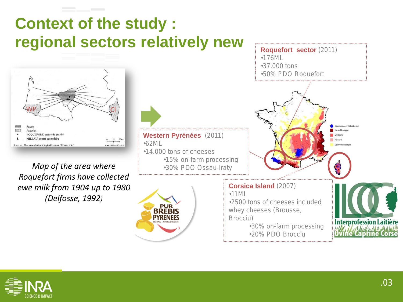### **Context of the study : regional sectors relatively new**



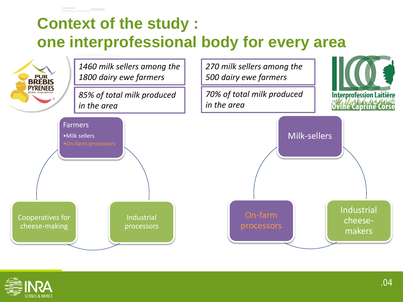# **Context of the study : one interprofessional body for every area**



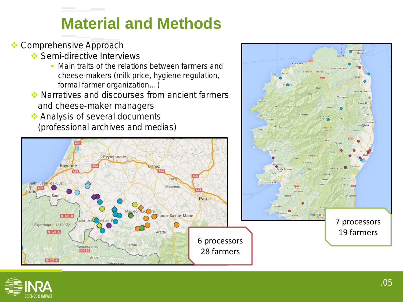### **Material and Methods**

**❖ Comprehensive Approach** 

Bayonne

 $N-121 - B$ 

Saint-Jean-de-Luz

Elgorriaga Elizondo

 $N-121 - 4$ 

 $N-121-A$ 

Irun

- **Semi-directive Interviews** 
	- **Main traits of the relations between farmers and** cheese-makers (milk price, hygiene regulation, formal farmer organization…)
- Narratives and discourses from ancient farmers and cheese-maker managers
- Analysis of several documents (professional archives and medias)



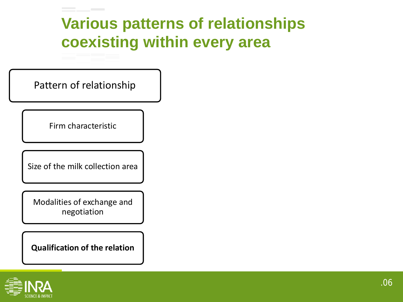### **Various patterns of relationships coexisting within every area**

Pattern of relationship

Firm characteristic

Size of the milk collection area

Modalities of exchange and negotiation

**Qualification of the relation**

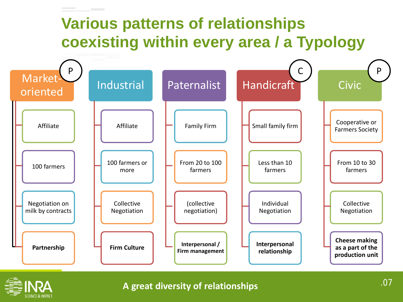# **Various patterns of relationships coexisting within every area / a Typology**





#### **A great diversity of relationships**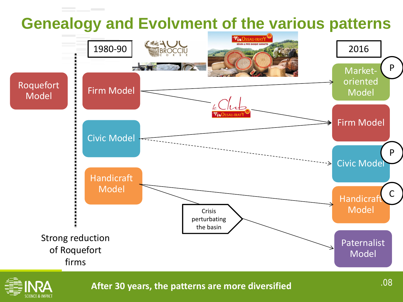



**After 30 years, the patterns are more diversified**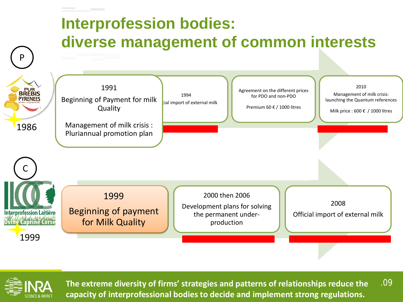



.09 **The extreme diversity of firms' strategies and patterns of relationships reduce the capacity of interprofessional bodies to decide and implement strong regulations.**